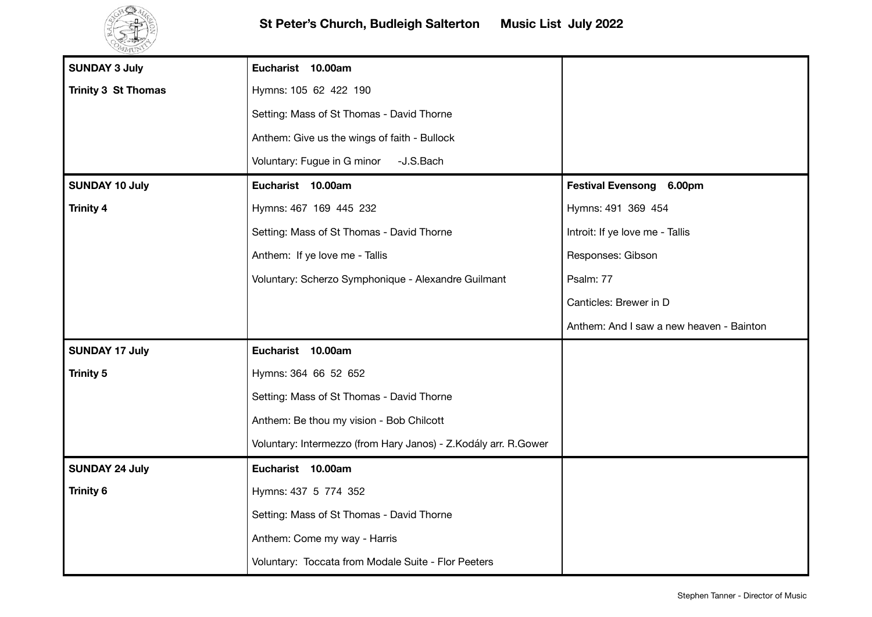

| <b>SUNDAY 3 July</b>       | Eucharist 10.00am                                               |                                          |
|----------------------------|-----------------------------------------------------------------|------------------------------------------|
| <b>Trinity 3 St Thomas</b> | Hymns: 105 62 422 190                                           |                                          |
|                            | Setting: Mass of St Thomas - David Thorne                       |                                          |
|                            | Anthem: Give us the wings of faith - Bullock                    |                                          |
|                            | Voluntary: Fugue in G minor<br>-J.S.Bach                        |                                          |
| <b>SUNDAY 10 July</b>      | Eucharist 10.00am                                               | Festival Evensong 6.00pm                 |
| <b>Trinity 4</b>           | Hymns: 467 169 445 232                                          | Hymns: 491 369 454                       |
|                            | Setting: Mass of St Thomas - David Thorne                       | Introit: If ye love me - Tallis          |
|                            | Anthem: If ye love me - Tallis                                  | Responses: Gibson                        |
|                            | Voluntary: Scherzo Symphonique - Alexandre Guilmant             | Psalm: 77                                |
|                            |                                                                 | Canticles: Brewer in D                   |
|                            |                                                                 | Anthem: And I saw a new heaven - Bainton |
| <b>SUNDAY 17 July</b>      | Eucharist 10.00am                                               |                                          |
| <b>Trinity 5</b>           | Hymns: 364 66 52 652                                            |                                          |
|                            | Setting: Mass of St Thomas - David Thorne                       |                                          |
|                            | Anthem: Be thou my vision - Bob Chilcott                        |                                          |
|                            | Voluntary: Intermezzo (from Hary Janos) - Z.Kodály arr. R.Gower |                                          |
| <b>SUNDAY 24 July</b>      | Eucharist 10.00am                                               |                                          |
| <b>Trinity 6</b>           | Hymns: 437 5 774 352                                            |                                          |
|                            | Setting: Mass of St Thomas - David Thorne                       |                                          |
|                            | Anthem: Come my way - Harris                                    |                                          |
|                            | Voluntary: Toccata from Modale Suite - Flor Peeters             |                                          |